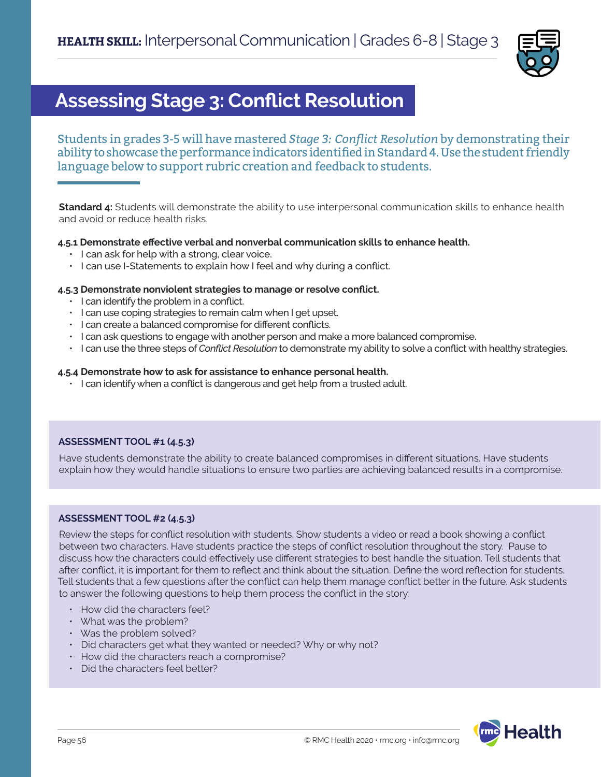

## **Assessing Stage 3: Conflict Resolution**

Students in grades 3-5 will have mastered *Stage 3: Conflict Resolution* by demonstrating their ability to showcase the performance indicators identified in Standard 4. Use the student friendly language below to support rubric creation and feedback to students.

**Standard 4:** Students will demonstrate the ability to use interpersonal communication skills to enhance health and avoid or reduce health risks.

### **4.5.1 Demonstrate effective verbal and nonverbal communication skills to enhance health.**

- I can ask for help with a strong, clear voice.
- I can use I-Statements to explain how I feel and why during a conflict.

#### **4.5.3 Demonstrate nonviolent strategies to manage or resolve conflict.**

- I can identify the problem in a conflict.
- I can use coping strategies to remain calm when I get upset.
- I can create a balanced compromise for different conflicts.
- I can ask questions to engage with another person and make a more balanced compromise.
- I can use the three steps of *Conflict Resolution* to demonstrate my ability to solve a conflict with healthy strategies.

#### **4.5.4 Demonstrate how to ask for assistance to enhance personal health.**

• I can identify when a conflict is dangerous and get help from a trusted adult.

### **ASSESSMENT TOOL #1 (4.5.3)**

Have students demonstrate the ability to create balanced compromises in different situations. Have students explain how they would handle situations to ensure two parties are achieving balanced results in a compromise.

### **ASSESSMENT TOOL #2 (4.5.3)**

Review the steps for conflict resolution with students. Show students a video or read a book showing a conflict between two characters. Have students practice the steps of conflict resolution throughout the story. Pause to discuss how the characters could effectively use different strategies to best handle the situation. Tell students that after conflict, it is important for them to reflect and think about the situation. Define the word reflection for students. Tell students that a few questions after the conflict can help them manage conflict better in the future. Ask students to answer the following questions to help them process the conflict in the story:

- How did the characters feel?
- What was the problem?
- Was the problem solved?
- Did characters get what they wanted or needed? Why or why not?
- How did the characters reach a compromise?
- Did the characters feel better?

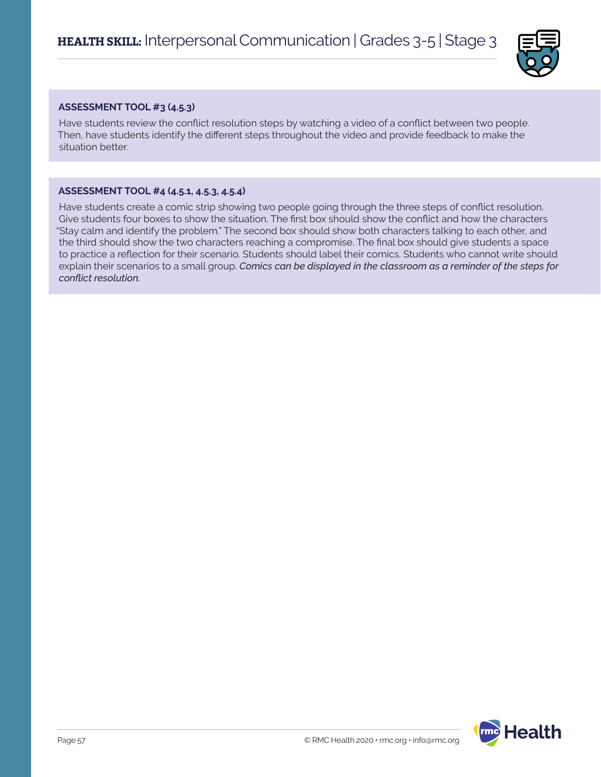

### **ASSESSMENT TOOL #3 (4.5.3)**

Have students review the conflict resolution steps by watching a video of a conflict between two people. Then, have students identify the different steps throughout the video and provide feedback to make the situation better.

### **ASSESSMENT TOOL #4 (4.5.1, 4.5.3, 4.5.4)**

Have students create a comic strip showing two people going through the three steps of conflict resolution. Give students four boxes to show the situation. The first box should show the conflict and how the characters "Stay calm and identify the problem." The second box should show both characters talking to each other, and the third should show the two characters reaching a compromise. The final box should give students a space to practice a reflection for their scenario. Students should label their comics. Students who cannot write should explain their scenarios to a small group. *Comics can be displayed in the classroom as a reminder of the steps for conflict resolution.*

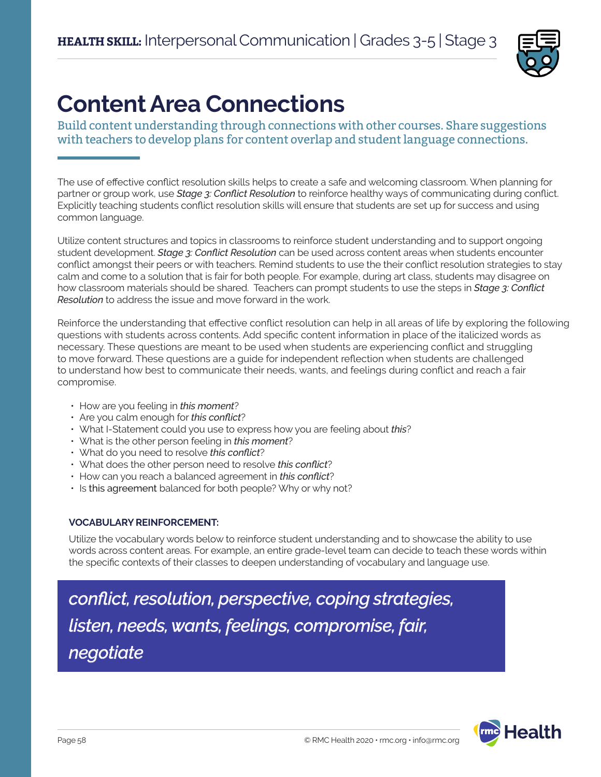

# **Content Area Connections**

Build content understanding through connections with other courses. Share suggestions with teachers to develop plans for content overlap and student language connections.

The use of effective conflict resolution skills helps to create a safe and welcoming classroom. When planning for partner or group work, use *Stage 3: Conflict Resolution* to reinforce healthy ways of communicating during conflict. Explicitly teaching students conflict resolution skills will ensure that students are set up for success and using common language.

Utilize content structures and topics in classrooms to reinforce student understanding and to support ongoing student development. *Stage 3: Conflict Resolution* can be used across content areas when students encounter conflict amongst their peers or with teachers. Remind students to use the their conflict resolution strategies to stay calm and come to a solution that is fair for both people. For example, during art class, students may disagree on how classroom materials should be shared. Teachers can prompt students to use the steps in *Stage 3: Conflict Resolution* to address the issue and move forward in the work.

Reinforce the understanding that effective conflict resolution can help in all areas of life by exploring the following questions with students across contents. Add specific content information in place of the italicized words as necessary. These questions are meant to be used when students are experiencing conflict and struggling to move forward. These questions are a guide for independent reflection when students are challenged to understand how best to communicate their needs, wants, and feelings during conflict and reach a fair compromise.

- How are you feeling in *this moment*?
- Are you calm enough for *this conflict*?
- What I-Statement could you use to express how you are feeling about *this*?
- What is the other person feeling in *this moment*?
- What do you need to resolve *this conflict*?
- What does the other person need to resolve *this conflict*?
- How can you reach a balanced agreement in *this conflict*?
- Is this agreement balanced for both people? Why or why not?

### **VOCABULARY REINFORCEMENT:**

Utilize the vocabulary words below to reinforce student understanding and to showcase the ability to use words across content areas. For example, an entire grade-level team can decide to teach these words within the specific contexts of their classes to deepen understanding of vocabulary and language use.

## *conflict, resolution, perspective, coping strategies, listen, needs, wants, feelings, compromise, fair, negotiate*